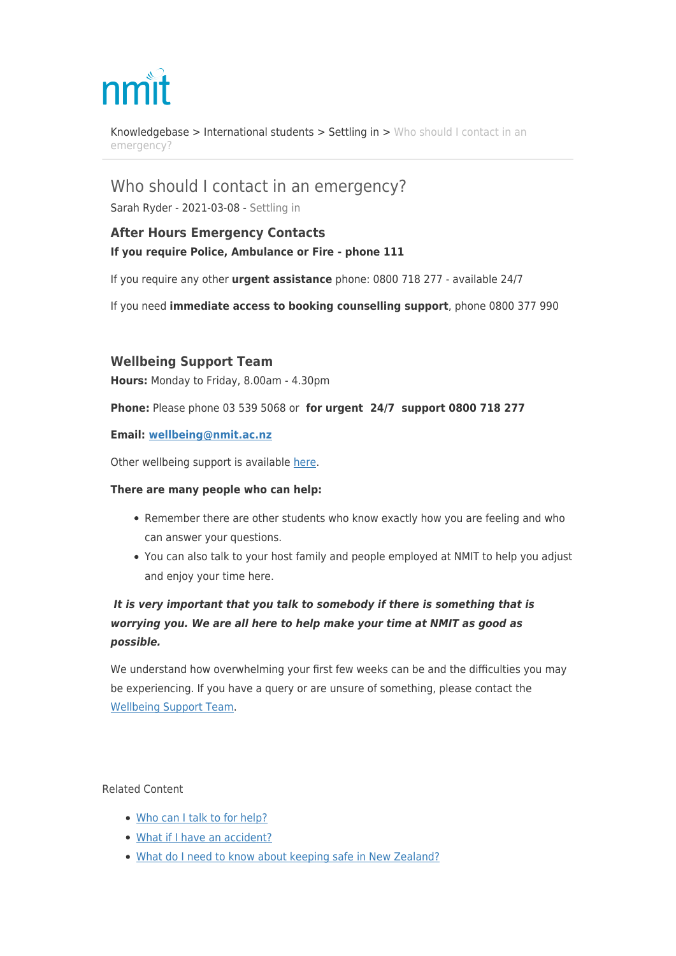# nm

[Knowledgebase](https://support.nmit.ac.nz/kb) > [International students](https://support.nmit.ac.nz/kb/international-students) > [Settling in](https://support.nmit.ac.nz/kb/settling-in) > [Who should I contact in an](https://support.nmit.ac.nz/kb/articles/who-should-i-contact-in-an-emergency) [emergency?](https://support.nmit.ac.nz/kb/articles/who-should-i-contact-in-an-emergency)

Who should I contact in an emergency?

Sarah Ryder - 2021-03-08 - [Settling in](https://support.nmit.ac.nz/kb/settling-in)

## **After Hours Emergency Contacts If you require Police, Ambulance or Fire - phone 111**

If you require any other **urgent assistance** phone: 0800 718 277 - available 24/7

If you need **immediate access to booking counselling support**, phone 0800 377 990

### **Wellbeing Support Team**

**Hours:** Monday to Friday, 8.00am - 4.30pm

**Phone:** Please phone 03 539 5068 or **for urgent 24/7 support 0800 718 277**

#### **Email: [wellbeing@nmit.ac.nz](mailto:wellbeing@nmit.ac.nz)**

Other wellbeing support is available [here.](https://support.nmit.ac.nz/kb/articles/who-can-provide-wellbeing-support)

#### **There are many people who can help:**

- Remember there are other students who know exactly how you are feeling and who can answer your questions.
- You can also talk to your host family and people employed at NMIT to help you adjust and enjoy your time here.

## *It is very important that you talk to somebody if there is something that is worrying you. We are all here to help make your time at NMIT as good as possible.*

We understand how overwhelming your first few weeks can be and the difficulties you may be experiencing. If you have a query or are unsure of something, please contact the [Wellbeing Support Team.](mailto:wellbeing@nmit.ac.nz)

Related Content

- [Who can I talk to for help?](https://support.nmit.ac.nz/kb/articles/who-can-i-talk-to-for-help)
- [What if I have an accident?](https://support.nmit.ac.nz/kb/articles/what-if-i-have-an-accident)
- [What do I need to know about keeping safe in New Zealand?](https://support.nmit.ac.nz/kb/articles/what-do-i-need-to-know-about-keeping-safe-in-new-zealand)